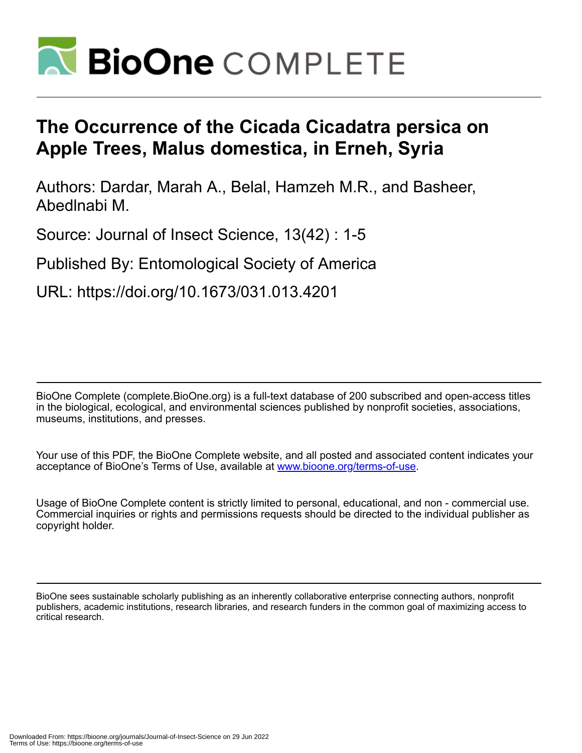

# **The Occurrence of the Cicada Cicadatra persica on Apple Trees, Malus domestica, in Erneh, Syria**

Authors: Dardar, Marah A., Belal, Hamzeh M.R., and Basheer, Abedlnabi M.

Source: Journal of Insect Science, 13(42) : 1-5

Published By: Entomological Society of America

URL: https://doi.org/10.1673/031.013.4201

BioOne Complete (complete.BioOne.org) is a full-text database of 200 subscribed and open-access titles in the biological, ecological, and environmental sciences published by nonprofit societies, associations, museums, institutions, and presses.

Your use of this PDF, the BioOne Complete website, and all posted and associated content indicates your acceptance of BioOne's Terms of Use, available at www.bioone.org/terms-of-use.

Usage of BioOne Complete content is strictly limited to personal, educational, and non - commercial use. Commercial inquiries or rights and permissions requests should be directed to the individual publisher as copyright holder.

BioOne sees sustainable scholarly publishing as an inherently collaborative enterprise connecting authors, nonprofit publishers, academic institutions, research libraries, and research funders in the common goal of maximizing access to critical research.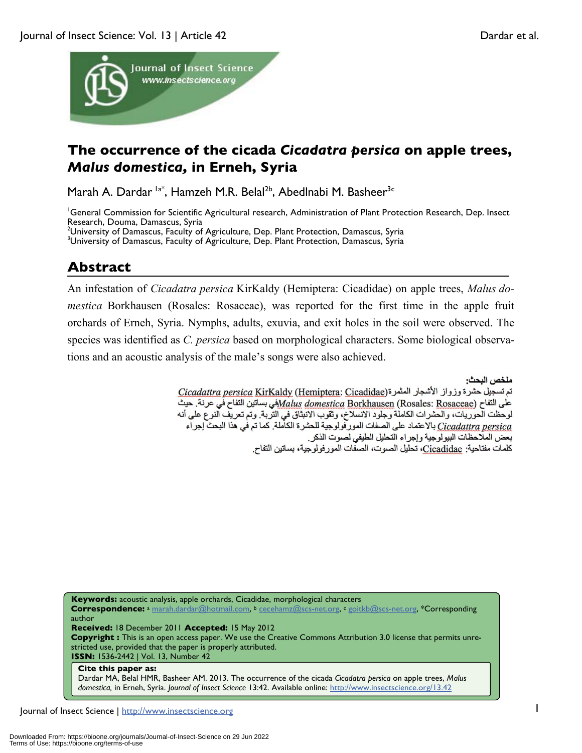

# **The occurrence of the cicada** *Cicadatra persica* **on apple trees,**  *Malus domestica,* **in Erneh, Syria**

Marah A. Dardar <sup>la\*</sup>, Hamzeh M.R. Belal<sup>2b</sup>, Abedlnabi M. Basheer<sup>3c</sup>

<sup>1</sup>General Commission for Scientific Agricultural research, Administration of Plant Protection Research, Dep. Insect Research, Douma, Damascus, Syria <sup>2</sup>University of Damascus, Faculty of Agriculture, Dep. Plant Protection, Damascus, Syria<br><sup>31</sup> Iniversity of Damascus, Faculty of Agriculture, Dep. Plant Protection, Damascus, Syria

<sup>3</sup>University of Damascus, Faculty of Agriculture, Dep. Plant Protection, Damascus, Syria

## **Abstract**

An infestation of *Cicadatra persica* KirKaldy (Hemiptera: Cicadidae) on apple trees, *Malus domestica* Borkhausen (Rosales: Rosaceae), was reported for the first time in the apple fruit orchards of Erneh, Syria. Nymphs, adults, exuvia, and exit holes in the soil were observed. The species was identified as *C. persica* based on morphological characters. Some biological observations and an acoustic analysis of the male's songs were also achieved.

ملخص البحث:

تم تسجيل حشرة وزواز الأشجار المثمرة(Hemiptera: Cicadidae) تم تسجيل حشرة وزواز الأشجار المثمرة على التفاح في عرنة. حيث Malus domestica Borkhausen (Rosales: Rosaceae)في بساتين التفاح في عرنة. حيث لوحظت العوريات، والعشرات الكاملة وجلود الانسلاخ، وثقوب الانبثاق في التربة. وتم تعريف النوع على أنه Cicadattra persica بالاعتماد على الصفات المور فولوجية للحشرة الكاملة. كما تم في هذا البحث إجراء بعض الملاحظات البيولوجية وإجراء التحليل الطيفي لصوت الذكر كلمات مفتاحية: Cicadidae، تحليل الصوت، الصفات المور فولوجية، بساتين التفاح.

**Keywords:** acoustic analysis, apple orchards, Cicadidae, morphological characters **Correspondence:** <sup>a</sup> marah.dardar@hotmail.com, b cecehamz@scs-net.org, c goitkb@scs-net.org, \*Corresponding author **Received:** 18 December 2011 **Accepted:** 15 May 2012 **Copyright :** This is an open access paper. We use the Creative Commons Attribution 3.0 license that permits unrestricted use, provided that the paper is properly attributed. **ISSN:** 1536-2442 | Vol. 13, Number 42 **Cite this paper as:** Dardar MA, Belal HMR, Basheer AM. 2013. The occurrence of the cicada *Cicadatra persica* on apple trees, *Malus* 

*domestica,* in Erneh, Syria. *Journal of Insect Science* 13:42. Available online: http://www.insectscience.org/13.42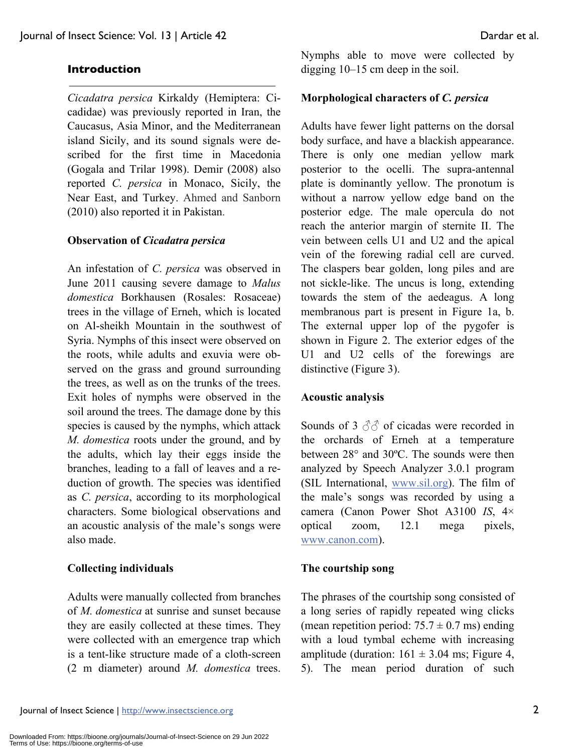#### **Introduction**

*Cicadatra persica* Kirkaldy (Hemiptera: Cicadidae) was previously reported in Iran, the Caucasus, Asia Minor, and the Mediterranean island Sicily, and its sound signals were described for the first time in Macedonia (Gogala and Trilar 1998). Demir (2008) also reported *C. persica* in Monaco, Sicily, the Near East, and Turkey. Ahmed and Sanborn (2010) also reported it in Pakistan.

#### **Observation of** *Cicadatra persica*

An infestation of *C. persica* was observed in June 2011 causing severe damage to *Malus domestica* Borkhausen (Rosales: Rosaceae) trees in the village of Erneh, which is located on Al-sheikh Mountain in the southwest of Syria. Nymphs of this insect were observed on the roots, while adults and exuvia were observed on the grass and ground surrounding the trees, as well as on the trunks of the trees. Exit holes of nymphs were observed in the soil around the trees. The damage done by this species is caused by the nymphs, which attack *M. domestica* roots under the ground, and by the adults, which lay their eggs inside the branches, leading to a fall of leaves and a reduction of growth. The species was identified as *C. persica*, according to its morphological characters. Some biological observations and an acoustic analysis of the male's songs were also made.

#### **Collecting individuals**

Adults were manually collected from branches of *M. domestica* at sunrise and sunset because they are easily collected at these times. They were collected with an emergence trap which is a tent-like structure made of a cloth-screen (2 m diameter) around *M. domestica* trees. Nymphs able to move were collected by digging 10–15 cm deep in the soil.

#### **Morphological characters of** *C. persica*

Adults have fewer light patterns on the dorsal body surface, and have a blackish appearance. There is only one median yellow mark posterior to the ocelli. The supra-antennal plate is dominantly yellow. The pronotum is without a narrow yellow edge band on the posterior edge. The male opercula do not reach the anterior margin of sternite II. The vein between cells U1 and U2 and the apical vein of the forewing radial cell are curved. The claspers bear golden, long piles and are not sickle-like. The uncus is long, extending towards the stem of the aedeagus. A long membranous part is present in Figure 1a, b. The external upper lop of the pygofer is shown in Figure 2. The exterior edges of the U1 and U2 cells of the forewings are distinctive (Figure 3).

#### **Acoustic analysis**

Sounds of 3  $\partial \partial$  of cicadas were recorded in the orchards of Erneh at a temperature between 28° and 30ºC. The sounds were then analyzed by Speech Analyzer 3.0.1 program (SIL International, www.sil.org). The film of the male's songs was recorded by using a camera (Canon Power Shot A3100 *IS*, 4× optical zoom, 12.1 mega pixels, www.canon.com).

#### **The courtship song**

The phrases of the courtship song consisted of a long series of rapidly repeated wing clicks (mean repetition period:  $75.7 \pm 0.7$  ms) ending with a loud tymbal echeme with increasing amplitude (duration:  $161 \pm 3.04$  ms; Figure 4, 5). The mean period duration of such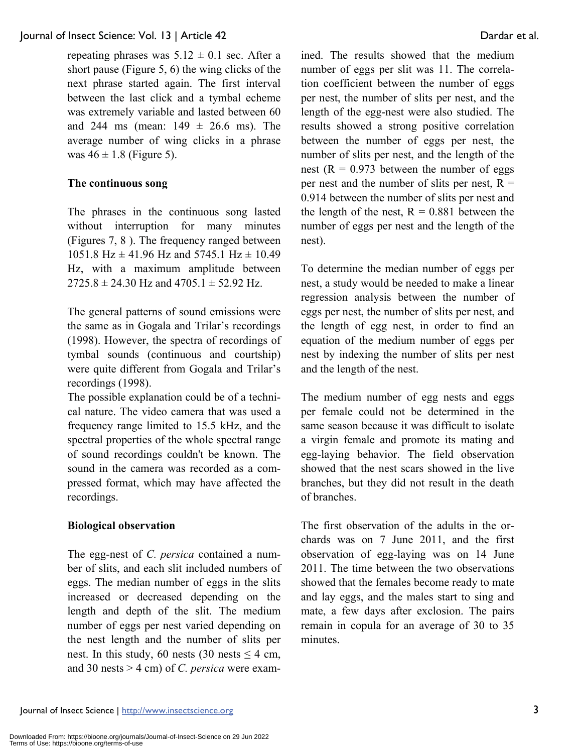#### Journal of Insect Science: Vol. 13 | Article 42 Dardar et al.

repeating phrases was  $5.12 \pm 0.1$  sec. After a short pause (Figure 5, 6) the wing clicks of the next phrase started again. The first interval between the last click and a tymbal echeme was extremely variable and lasted between 60 and 244 ms (mean:  $149 \pm 26.6$  ms). The average number of wing clicks in a phrase was  $46 \pm 1.8$  (Figure 5).

#### **The continuous song**

The phrases in the continuous song lasted without interruption for many minutes (Figures 7, 8 ). The frequency ranged between 1051.8 Hz  $\pm$  41.96 Hz and 5745.1 Hz  $\pm$  10.49 Hz, with a maximum amplitude between  $2725.8 \pm 24.30$  Hz and  $4705.1 \pm 52.92$  Hz.

The general patterns of sound emissions were the same as in Gogala and Trilar's recordings (1998). However, the spectra of recordings of tymbal sounds (continuous and courtship) were quite different from Gogala and Trilar's recordings (1998).

The possible explanation could be of a technical nature. The video camera that was used a frequency range limited to 15.5 kHz, and the spectral properties of the whole spectral range of sound recordings couldn't be known. The sound in the camera was recorded as a compressed format, which may have affected the recordings.

#### **Biological observation**

The egg-nest of *C. persica* contained a number of slits, and each slit included numbers of eggs. The median number of eggs in the slits increased or decreased depending on the length and depth of the slit. The medium number of eggs per nest varied depending on the nest length and the number of slits per nest. In this study, 60 nests (30 nests  $\leq$  4 cm, and 30 nests > 4 cm) of *C. persica* were examined. The results showed that the medium number of eggs per slit was 11. The correlation coefficient between the number of eggs per nest, the number of slits per nest, and the length of the egg-nest were also studied. The results showed a strong positive correlation between the number of eggs per nest, the number of slits per nest, and the length of the nest ( $R = 0.973$  between the number of eggs per nest and the number of slits per nest,  $R =$ 0.914 between the number of slits per nest and the length of the nest,  $R = 0.881$  between the number of eggs per nest and the length of the nest).

To determine the median number of eggs per nest, a study would be needed to make a linear regression analysis between the number of eggs per nest, the number of slits per nest, and the length of egg nest, in order to find an equation of the medium number of eggs per nest by indexing the number of slits per nest and the length of the nest.

The medium number of egg nests and eggs per female could not be determined in the same season because it was difficult to isolate a virgin female and promote its mating and egg-laying behavior. The field observation showed that the nest scars showed in the live branches, but they did not result in the death of branches.

The first observation of the adults in the orchards was on 7 June 2011, and the first observation of egg-laying was on 14 June 2011. The time between the two observations showed that the females become ready to mate and lay eggs, and the males start to sing and mate, a few days after exclosion. The pairs remain in copula for an average of 30 to 35 minutes.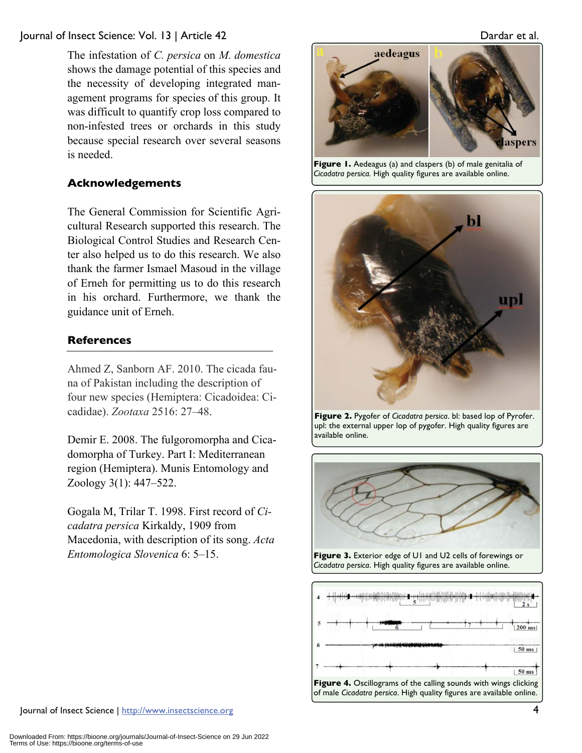#### Journal of Insect Science: Vol. 13 | Article 42 Dardar et al.

The infestation of *C. persica* on *M. domestica*  shows the damage potential of this species and the necessity of developing integrated management programs for species of this group. It was difficult to quantify crop loss compared to non-infested trees or orchards in this study because special research over several seasons is needed.

### **Acknowledgements**

The General Commission for Scientific Agricultural Research supported this research. The Biological Control Studies and Research Center also helped us to do this research. We also thank the farmer Ismael Masoud in the village of Erneh for permitting us to do this research in his orchard. Furthermore, we thank the guidance unit of Erneh.

#### **References**

Ahmed Z, Sanborn AF. 2010. The cicada fauna of Pakistan including the description of four new species (Hemiptera: Cicadoidea: Cicadidae). *Zootaxa* 2516: 27–48.

Demir E. 2008. The fulgoromorpha and Cicadomorpha of Turkey. Part I: Mediterranean region (Hemiptera). Munis Entomology and Zoology 3(1): 447–522.

Gogala M, Trilar T. 1998. First record of *Cicadatra persica* Kirkaldy, 1909 from Macedonia, with description of its song. *Acta Entomologica Slovenica* 6: 5–15.

aedeagus

**Figure 1.** Aedeagus (a) and claspers (b) of male genitalia of *Cicadatra persica.* High quality figures are available online.



**Figure 2.** Pygofer of *Cicadatra persica*. bl: based lop of Pyrofer. upl: the external upper lop of pygofer. High quality figures are available online.



**Figure 3.** Exterior edge of U1 and U2 cells of forewings or *Cicadatra persica*. High quality figures are available online.



Journal of Insect Science | http://www.insectscience.org 4